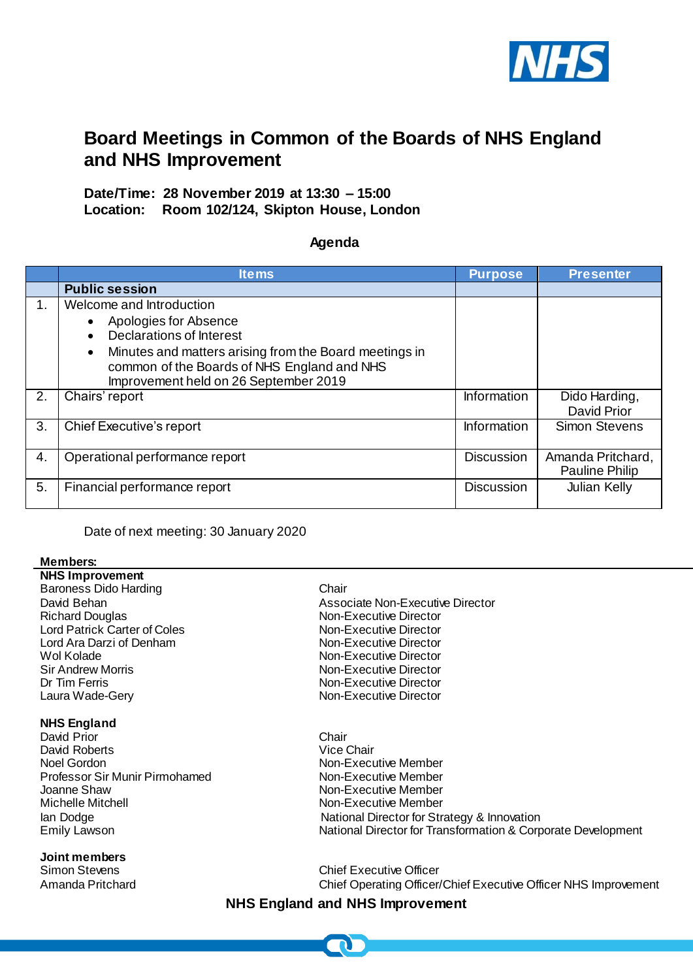

# **Board Meetings in Common of the Boards of NHS England and NHS Improvement**

# **Date/Time: 28 November 2019 at 13:30 – 15:00 Location: Room 102/124, Skipton House, London**

## **Agenda**

|         | <b>Items</b>                                                                                                                                                                                                                                                                  | <b>Purpose</b>    | <b>Presenter</b>                           |
|---------|-------------------------------------------------------------------------------------------------------------------------------------------------------------------------------------------------------------------------------------------------------------------------------|-------------------|--------------------------------------------|
|         | <b>Public session</b>                                                                                                                                                                                                                                                         |                   |                                            |
| $1_{-}$ | Welcome and Introduction<br>Apologies for Absence<br>$\bullet$<br><b>Declarations of Interest</b><br>$\bullet$<br>Minutes and matters arising from the Board meetings in<br>$\bullet$<br>common of the Boards of NHS England and NHS<br>Improvement held on 26 September 2019 |                   |                                            |
| 2.      | Chairs' report                                                                                                                                                                                                                                                                | Information       | Dido Harding,<br>David Prior               |
| 3.      | <b>Chief Executive's report</b>                                                                                                                                                                                                                                               | Information       | <b>Simon Stevens</b>                       |
| 4.      | Operational performance report                                                                                                                                                                                                                                                | <b>Discussion</b> | Amanda Pritchard,<br><b>Pauline Philip</b> |
| 5.      | Financial performance report                                                                                                                                                                                                                                                  | <b>Discussion</b> | Julian Kelly                               |

Date of next meeting: 30 January 2020

#### **Members:**

**NHS Improvement**  Baroness Dido Harding Chair Richard Douglas Non-Executive Director Lord Patrick Carter of Coles Non-Executive Director Lord Ara Darzi of Denham Non-Executive Director<br>
Mol Kolade Non-Executive Director Sir Andrew Morris **Non-Executive Director**<br>
Dr Tim Ferris Non-Executive Director<br>
Non-Executive Director Dr Tim Ferris **Non-Executive Director**<br>
Laura Wade-Gery **Non-Executive Director** 

### **NHS England**

David Prior Chair David Roberts<br>Noel Gordon Professor Sir Munir Pirmohamed<br>Joanne Shaw Joanne Shaw<br>Mon-Executive Member<br>Mon-Executive Member

#### **Joint members**

David Behan **Associate Non-Executive Director** Associate Non-Executive Director Non-Executive Director **Non-Executive Director** 

Non-Executive Member<br>Non-Executive Member Non-Executive Member Ian Dodge **Ian Dodge 19 National Director for Strategy & Innovation**<br>
Emily Lawson **National Director for Transformation & Cor**p National Director for Transformation & Corporate Development

Simon Stevens Chief Executive Officer Amanda Pritchard Chief Operating Officer/Chief Executive Officer NHS Improvement

# **NHS England and NHS Improvement**